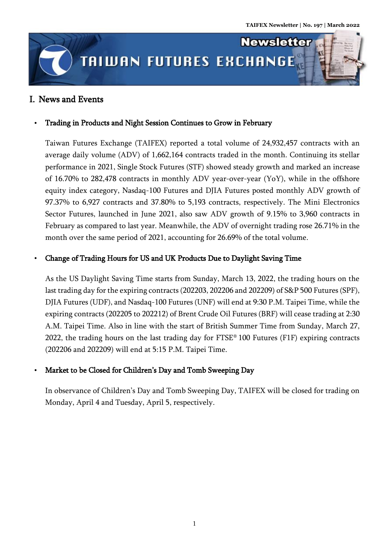

## I. News and Events

## Trading in Products and Night Session Continues to Grow in February

Taiwan Futures Exchange (TAIFEX) reported a total volume of 24,932,457 contracts with an average daily volume (ADV) of 1,662,164 contracts traded in the month. Continuing its stellar performance in 2021, Single Stock Futures (STF) showed steady growth and marked an increase of 16.70% to 282,478 contracts in monthly ADV year-over-year (YoY), while in the offshore equity index category, Nasdaq-100 Futures and DJIA Futures posted monthly ADV growth of 97.37% to 6,927 contracts and 37.80% to 5,193 contracts, respectively. The Mini Electronics Sector Futures, launched in June 2021, also saw ADV growth of 9.15% to 3,960 contracts in February as compared to last year. Meanwhile, the ADV of overnight trading rose 26.71% in the month over the same period of 2021, accounting for 26.69% of the total volume.

## Change of Trading Hours for US and UK Products Due to Daylight Saving Time

As the US Daylight Saving Time starts from Sunday, March 13, 2022, the trading hours on the last trading day for the expiring contracts (202203, 202206 and 202209) of S&P 500 Futures (SPF), DJIA Futures (UDF), and Nasdaq-100 Futures (UNF) will end at 9:30 P.M. Taipei Time, while the expiring contracts (202205 to 202212) of Brent Crude Oil Futures (BRF) will cease trading at 2:30 A.M. Taipei Time. Also in line with the start of British Summer Time from Sunday, March 27, 2022, the trading hours on the last trading day for  $FTSE^{\circ}$  100 Futures (F1F) expiring contracts (202206 and 202209) will end at 5:15 P.M. Taipei Time.

## Market to be Closed for Children's Day and Tomb Sweeping Day

In observance of Children's Day and Tomb Sweeping Day, TAIFEX will be closed for trading on Monday, April 4 and Tuesday, April 5, respectively.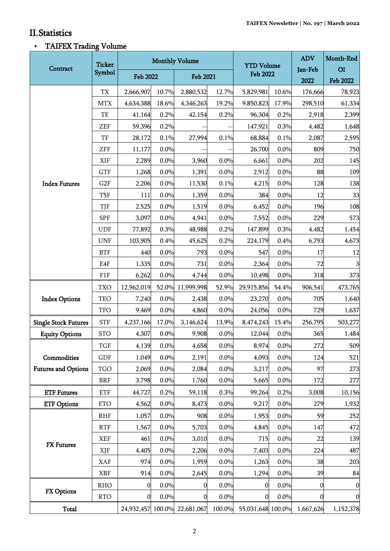ı.

# II.Statistics

# TAIFEX Trading Volume

| Contract                                  | <b>Ticker</b><br>Symbol  | <b>Monthly Volume</b> |       |                              |        | <b>YTD Volume</b> |       | <b>ADV</b> | Month-End        |
|-------------------------------------------|--------------------------|-----------------------|-------|------------------------------|--------|-------------------|-------|------------|------------------|
|                                           |                          | <b>Feb 2022</b>       |       | <b>Feb 2021</b>              |        | <b>Feb 2022</b>   |       | Jan-Feb    | O <sub>I</sub>   |
|                                           |                          |                       |       |                              |        |                   |       | 2022       | <b>Feb 2022</b>  |
| <b>Index Futures</b>                      | $\mathcal{T}\mathcal{X}$ | 2,666,907             | 10.7% | 2,880,532                    | 12.7%  | 5,829,981         | 10.6% | 176,666    | 78,923           |
|                                           | <b>MTX</b>               | 4,634,388             | 18.6% | 4,346,263                    | 19.2%  | 9,850,823         | 17.9% | 298,510    | 61,334           |
|                                           | TE                       | 41,164                | 0.2%  | 42,154                       | 0.2%   | 96,304            | 0.2%  | 2,918      | 2,399            |
|                                           | ZEF                      | 59,396                | 0.2%  |                              |        | 147,921           | 0.3%  | 4,482      | 1,648            |
|                                           | TF                       | 28,172                | 0.1%  | 27,994                       | 0.1%   | 68,884            | 0.1%  | 2,087      | 2,595            |
|                                           | <b>ZFF</b>               | 11,177                | 0.0%  |                              |        | 26,700            | 0.0%  | 809        | 750              |
|                                           | XIF                      | 2,289                 | 0.0%  | 3,960                        | 0.0%   | 6,661             | 0.0%  | 202        | 145              |
|                                           | <b>GTF</b>               | 1,268                 | 0.0%  | 1,391                        | 0.0%   | 2,912             | 0.0%  | 88         | 109              |
|                                           | G <sub>2F</sub>          | 2,206                 | 0.0%  | 11,530                       | 0.1%   | 4,215             | 0.0%  | 128        | 138              |
|                                           | T5F                      | 111                   | 0.0%  | 1,359                        | 0.0%   | 384               | 0.0%  | 12         | 33               |
|                                           | TJF                      | 2,525                 | 0.0%  | 1,519                        | 0.0%   | 6,452             | 0.0%  | 196        | 108              |
|                                           | <b>SPF</b>               | 3,097                 | 0.0%  | 4,941                        | 0.0%   | 7,552             | 0.0%  | 229        | 573              |
|                                           | <b>UDF</b>               | 77,892                | 0.3%  | 48,988                       | 0.2%   | 147,899           | 0.3%  | 4,482      | 1,454            |
|                                           | <b>UNF</b>               | 103,905               | 0.4%  | 45,625                       | 0.2%   | 224,179           | 0.4%  | 6,793      | 4,673            |
|                                           | <b>BTF</b>               | 440                   | 0.0%  | 793                          | 0.0%   | 547               | 0.0%  | 17         | 12               |
|                                           | E4F                      | 1,335                 | 0.0%  | 731                          | 0.0%   | 2,364             | 0.0%  | 72         | 3                |
|                                           | F1F                      | 6,262                 | 0.0%  | 4,744                        | 0.0%   | 10,498            | 0.0%  | 318        | 373              |
| <b>Index Options</b>                      | <b>TXO</b>               | 12,962,019            | 52.0% | 11,999,998                   | 52.9%  | 29,915,856        | 54.4% | 906,541    | 473,765          |
|                                           | <b>TEO</b>               | 7,240                 | 0.0%  | 2,438                        | 0.0%   | 23,270            | 0.0%  | 705        | 1,640            |
|                                           | <b>TFO</b>               | 9,469                 | 0.0%  | 4,860                        | 0.0%   | 24,056            | 0.0%  | 729        | 1,637            |
| <b>Single Stock Futures</b>               | <b>STF</b>               | 4,237,166             | 17.0% | 3,146,624                    | 13.9%  | 8,474,243         | 15.4% | 256,795    | 503,277          |
| <b>Equity Options</b>                     | <b>STO</b>               | 4,307                 | 0.0%  | 9,908                        | 0.0%   | 12,044            | 0.0%  | 365        | 1,484            |
| Commodities<br><b>Futures and Options</b> | TGF                      | 4,139                 | 0.0%  | 4,658                        | 0.0%   | 8,974             | 0.0%  | 272        | 509              |
|                                           | <b>GDF</b>               | 1,049                 | 0.0%  | 2,191                        | 0.0%   | 4,093             | 0.0%  | 124        | 521              |
|                                           | TGO                      | 2,069                 | 0.0%  | 2,084                        | 0.0%   | 3,217             | 0.0%  | 97         | 273              |
|                                           | <b>BRF</b>               | 3,798                 | 0.0%  | 1,760                        | 0.0%   | 5,665             | 0.0%  | 172        | 277              |
| <b>ETF Futures</b>                        | <b>ETF</b>               | 44,727                | 0.2%  | 59,118                       | 0.3%   | 99,264            | 0.2%  | 3,008      | 10,156           |
| <b>ETF Options</b>                        | <b>ETO</b>               | 4,562                 | 0.0%  | 8,473                        | 0.0%   | 9,217             | 0.0%  | 279        | 1,932            |
| <b>FX</b> Futures                         | <b>RHF</b>               | 1,057                 | 0.0%  | 908                          | 0.0%   | 1,953             | 0.0%  | 59         | 252              |
|                                           | <b>RTF</b>               | 1,567                 | 0.0%  | 5,703                        | 0.0%   | 4,845             | 0.0%  | 147        | 472              |
|                                           | <b>XEF</b>               | 461                   | 0.0%  | 3,010                        | 0.0%   | 715               | 0.0%  | 22         | 139              |
|                                           | XJF                      | 4,405                 | 0.0%  | 2,206                        | 0.0%   | 7,403             | 0.0%  | 224        | 487              |
|                                           | XAF                      | 974                   | 0.0%  | 1,959                        | 0.0%   | 1,263             | 0.0%  | 38         | 203              |
|                                           | <b>XBF</b>               | 914                   | 0.0%  | 2,645                        | 0.0%   | 1,294             | 0.0%  | 39         | 84               |
| <b>FX Options</b>                         | <b>RHO</b>               | 0                     | 0.0%  | 0                            | 0.0%   | 0                 | 0.0%  | 0          | $\boldsymbol{0}$ |
|                                           | <b>RTO</b>               | $\mathbf 0$           | 0.0%  | 0                            | 0.0%   | $\boldsymbol{0}$  | 0.0%  | 0          | $\boldsymbol{0}$ |
| <b>Total</b>                              |                          |                       |       | 24,932,457 100.0% 22,681,067 | 100.0% | 55,031,648 100.0% |       | 1,667,626  | 1,152,378        |
|                                           |                          |                       |       |                              |        |                   |       |            |                  |